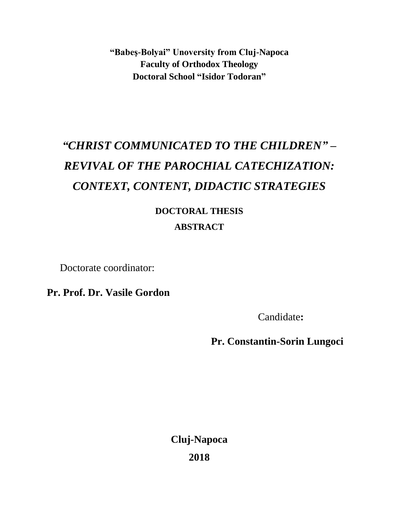**"Babeş-Bolyai" Unoversity from Cluj-Napoca Faculty of Orthodox Theology Doctoral School "Isidor Todoran"**

## *"CHRIST COMMUNICATED TO THE CHILDREN" – REVIVAL OF THE PAROCHIAL CATECHIZATION: CONTEXT, CONTENT, DIDACTIC STRATEGIES*

## **DOCTORAL THESIS ABSTRACT**

Doctorate coordinator:

**Pr. Prof. Dr. Vasile Gordon**

Candidate**:**

 **Pr. Constantin-Sorin Lungoci**

**Cluj-Napoca 2018**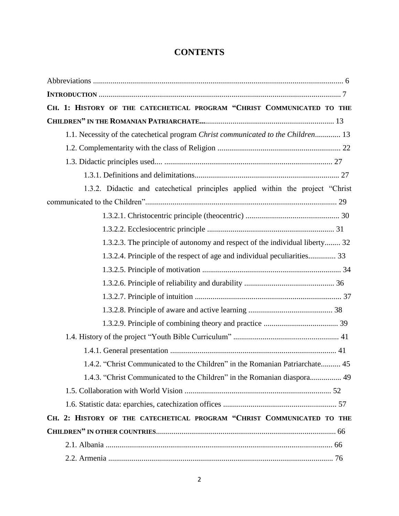## **CONTENTS**

| CH. 1: HISTORY OF THE CATECHETICAL PROGRAM "CHRIST COMMUNICATED TO THE            |
|-----------------------------------------------------------------------------------|
|                                                                                   |
| 1.1. Necessity of the catechetical program Christ communicated to the Children 13 |
|                                                                                   |
|                                                                                   |
|                                                                                   |
| 1.3.2. Didactic and catechetical principles applied within the project "Christ    |
|                                                                                   |
|                                                                                   |
|                                                                                   |
| 1.3.2.3. The principle of autonomy and respect of the individual liberty 32       |
| 1.3.2.4. Principle of the respect of age and individual peculiarities 33          |
|                                                                                   |
|                                                                                   |
|                                                                                   |
|                                                                                   |
|                                                                                   |
|                                                                                   |
|                                                                                   |
| 1.4.2. "Christ Communicated to the Children" in the Romanian Patriarchate 45      |
| 1.4.3. "Christ Communicated to the Children" in the Romanian diaspora 49          |
|                                                                                   |
|                                                                                   |
| CH. 2: HISTORY OF THE CATECHETICAL PROGRAM "CHRIST COMMUNICATED TO THE            |
|                                                                                   |
|                                                                                   |
|                                                                                   |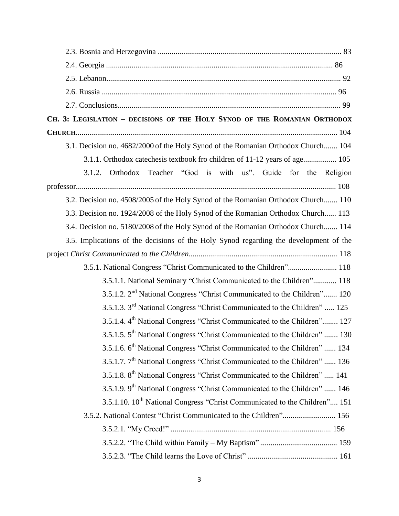| CH. 3: LEGISLATION - DECISIONS OF THE HOLY SYNOD OF THE ROMANIAN ORTHODOX              |
|----------------------------------------------------------------------------------------|
|                                                                                        |
| 3.1. Decision no. 4682/2000 of the Holy Synod of the Romanian Orthodox Church 104      |
| 3.1.1. Orthodox catechesis textbook fro children of 11-12 years of age 105             |
| 3.1.2. Orthodox Teacher "God is with us". Guide for the Religion                       |
|                                                                                        |
| 3.2. Decision no. 4508/2005 of the Holy Synod of the Romanian Orthodox Church 110      |
| 3.3. Decision no. 1924/2008 of the Holy Synod of the Romanian Orthodox Church 113      |
| 3.4. Decision no. 5180/2008 of the Holy Synod of the Romanian Orthodox Church 114      |
| 3.5. Implications of the decisions of the Holy Synod regarding the development of the  |
|                                                                                        |
|                                                                                        |
| 3.5.1.1. National Seminary "Christ Communicated to the Children" 118                   |
| 3.5.1.2. 2 <sup>nd</sup> National Congress "Christ Communicated to the Children" 120   |
| 3.5.1.3. 3 <sup>rd</sup> National Congress "Christ Communicated to the Children"  125  |
| 3.5.1.4. 4 <sup>th</sup> National Congress "Christ Communicated to the Children" 127   |
| 3.5.1.5. 5 <sup>th</sup> National Congress "Christ Communicated to the Children"  130  |
| 3.5.1.6. 6 <sup>th</sup> National Congress "Christ Communicated to the Children"  134  |
| 3.5.1.7. 7 <sup>th</sup> National Congress "Christ Communicated to the Children"  136  |
| 3.5.1.8. 8 <sup>th</sup> National Congress "Christ Communicated to the Children"  141  |
| 3.5.1.9. 9 <sup>th</sup> National Congress "Christ Communicated to the Children"  146  |
| 3.5.1.10. 10 <sup>th</sup> National Congress "Christ Communicated to the Children" 151 |
| 3.5.2. National Contest "Christ Communicated to the Children" 156                      |
|                                                                                        |
|                                                                                        |
|                                                                                        |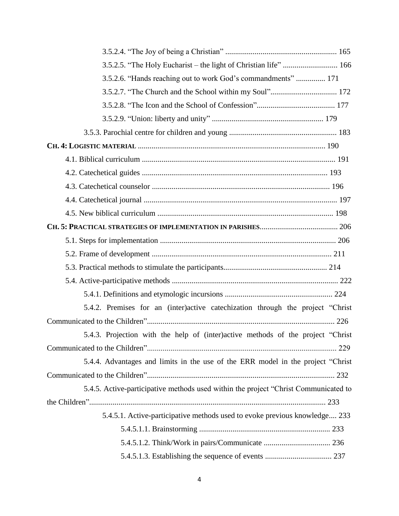| 3.5.2.5. "The Holy Eucharist - the light of Christian life"  166                    |
|-------------------------------------------------------------------------------------|
| 3.5.2.6. "Hands reaching out to work God's commandments"  171                       |
|                                                                                     |
|                                                                                     |
|                                                                                     |
|                                                                                     |
|                                                                                     |
|                                                                                     |
|                                                                                     |
|                                                                                     |
|                                                                                     |
|                                                                                     |
|                                                                                     |
|                                                                                     |
|                                                                                     |
|                                                                                     |
|                                                                                     |
|                                                                                     |
| 5.4.2. Premises for an (inter)active catechization through the project "Christ"     |
|                                                                                     |
| 5.4.3. Projection with the help of (inter)active methods of the project "Christ     |
|                                                                                     |
| 5.4.4. Advantages and limits in the use of the ERR model in the project "Christ"    |
|                                                                                     |
| 5.4.5. Active-participative methods used within the project "Christ Communicated to |
|                                                                                     |
| 5.4.5.1. Active-participative methods used to evoke previous knowledge 233          |
|                                                                                     |
|                                                                                     |
|                                                                                     |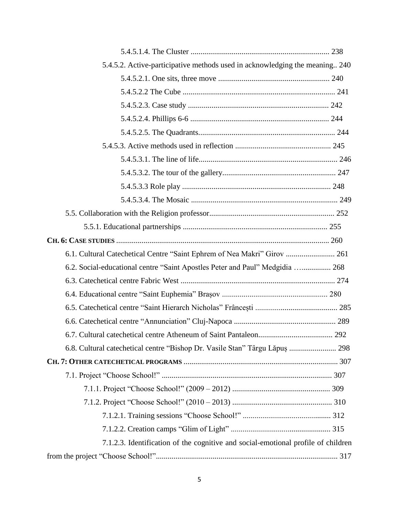| 5.4.5.2. Active-participative methods used in acknowledging the meaning 240       |
|-----------------------------------------------------------------------------------|
|                                                                                   |
|                                                                                   |
|                                                                                   |
|                                                                                   |
|                                                                                   |
|                                                                                   |
|                                                                                   |
|                                                                                   |
|                                                                                   |
|                                                                                   |
|                                                                                   |
|                                                                                   |
|                                                                                   |
| 6.1. Cultural Catechetical Centre "Saint Ephrem of Nea Makri" Girov  261          |
| 6.2. Social-educational centre "Saint Apostles Peter and Paul" Medgidia  268      |
|                                                                                   |
|                                                                                   |
|                                                                                   |
|                                                                                   |
|                                                                                   |
| 6.8. Cultural catechetical centre "Bishop Dr. Vasile Stan" Târgu Lăpuș  298       |
|                                                                                   |
|                                                                                   |
|                                                                                   |
|                                                                                   |
|                                                                                   |
|                                                                                   |
| 7.1.2.3. Identification of the cognitive and social-emotional profile of children |
|                                                                                   |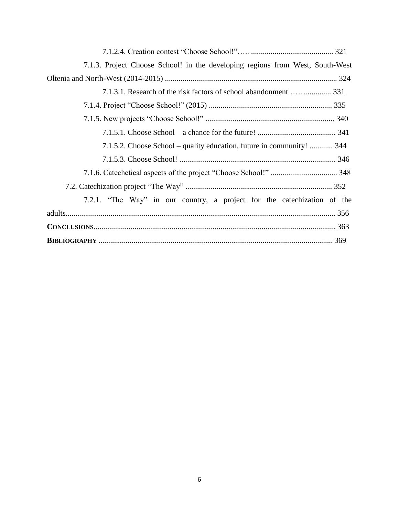| 7.1.3. Project Choose School! in the developing regions from West, South-West |
|-------------------------------------------------------------------------------|
|                                                                               |
| 7.1.3.1. Research of the risk factors of school abandonment  331              |
|                                                                               |
|                                                                               |
|                                                                               |
| 7.1.5.2. Choose School – quality education, future in community!  344         |
|                                                                               |
|                                                                               |
|                                                                               |
| 7.2.1. "The Way" in our country, a project for the catechization of the       |
|                                                                               |
|                                                                               |
|                                                                               |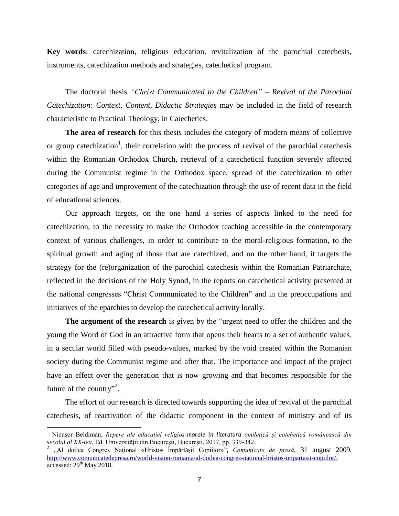**Key words**: catechization, religious education, revitalization of the parochial catechesis, instruments, catechization methods and strategies, catechetical program.

The doctoral thesis *"Christ Communicated to the Children" – Revival of the Parochial Catechization: Context, Content, Didactic Strategies* may be included in the field of research characteristic to Practical Theology, in Catechetics.

**The area of research** for this thesis includes the category of modern means of collective or group catechization<sup>1</sup>, their correlation with the process of revival of the parochial catechesis within the Romanian Orthodox Church, retrieval of a catechetical function severely affected during the Communist regime in the Orthodox space, spread of the catechization to other categories of age and improvement of the catechization through the use of recent data in the field of educational sciences.

Our approach targets, on the one hand a series of aspects linked to the need for catechization, to the necessity to make the Orthodox teaching accessible in the contemporary context of various challenges, in order to contribute to the moral-religious formation, to the spiritual growth and aging of those that are catechized, and on the other hand, it targets the strategy for the (re)organization of the parochial catechesis within the Romanian Patriarchate, reflected in the decisions of the Holy Synod, in the reports on catechetical activity presented at the national congresses "Christ Communicated to the Children" and in the preoccupations and initiatives of the eparchies to develop the catechetical activity locally.

**The argument of the research** is given by the "urgent need to offer the children and the young the Word of God in an attractive form that opens their hearts to a set of authentic values, in a secular world filled with pseudo-values, marked by the void created within the Romanian society during the Communist regime and after that. The importance and impact of the project have an effect over the generation that is now growing and that becomes responsible for the future of the country"<sup>2</sup>.

The effort of our research is directed towards supporting the idea of revival of the parochial catechesis, of reactivation of the didactic component in the context of ministry and of its

<sup>1</sup> Nicușor Beldiman, *Repere ale educației religios-morale în literatura omiletică și catehetică românească din secolul al XX-lea*, Ed. Universității din București, București, 2017, pp. 339-342.

<sup>2</sup> "Al doilea Congres Naţional «Hristos Împărtăşit Copiilor»", *Comunicate de presă*, 31 august 2009, [http://www.comunicatedepresa.ro/world-vision-romania/al-doilea-congres-national-hristos-impartasit-copiilor/;](http://www.comunicatedepresa.ro/world-vision-romania/al-doilea-congres-national-hristos-impartasit-copiilor/) accessed:  $29<sup>th</sup>$  May 2018.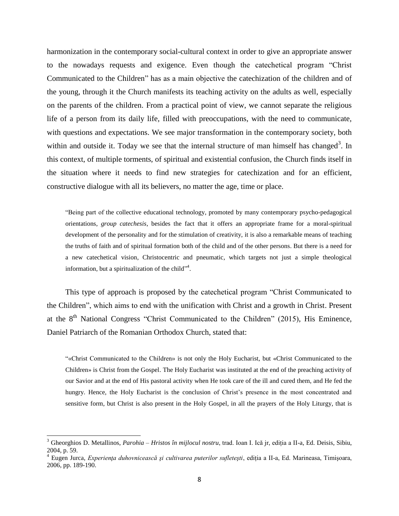harmonization in the contemporary social-cultural context in order to give an appropriate answer to the nowadays requests and exigence. Even though the catechetical program "Christ Communicated to the Children" has as a main objective the catechization of the children and of the young, through it the Church manifests its teaching activity on the adults as well, especially on the parents of the children. From a practical point of view, we cannot separate the religious life of a person from its daily life, filled with preoccupations, with the need to communicate, with questions and expectations. We see major transformation in the contemporary society, both within and outside it. Today we see that the internal structure of man himself has changed<sup>3</sup>. In this context, of multiple torments, of spiritual and existential confusion, the Church finds itself in the situation where it needs to find new strategies for catechization and for an efficient, constructive dialogue with all its believers, no matter the age, time or place.

"Being part of the collective educational technology, promoted by many contemporary psycho-pedagogical orientations, *group catechesis*, besides the fact that it offers an appropriate frame for a moral-spiritual development of the personality and for the stimulation of creativity, it is also a remarkable means of teaching the truths of faith and of spiritual formation both of the child and of the other persons. But there is a need for a new catechetical vision, Christocentric and pneumatic, which targets not just a simple theological information, but a spiritualization of the child".

This type of approach is proposed by the catechetical program "Christ Communicated to the Children", which aims to end with the unification with Christ and a growth in Christ. Present at the  $8<sup>th</sup>$  National Congress "Christ Communicated to the Children" (2015), His Eminence, Daniel Patriarch of the Romanian Orthodox Church, stated that:

"«Christ Communicated to the Children» is not only the Holy Eucharist, but «Christ Communicated to the Children» is Christ from the Gospel. The Holy Eucharist was instituted at the end of the preaching activity of our Savior and at the end of His pastoral activity when He took care of the ill and cured them, and He fed the hungry. Hence, the Holy Eucharist is the conclusion of Christ's presence in the most concentrated and sensitive form, but Christ is also present in the Holy Gospel, in all the prayers of the Holy Liturgy, that is

<sup>3</sup> Gheorghios D. Metallinos, *Parohia – Hristos în mijlocul nostru*, trad. Ioan I. Ică jr, ediția a II-a, Ed. Deisis, Sibiu, 2004, p. 59.

<sup>4</sup> Eugen Jurca, *Experienţa duhovnicească şi cultivarea puterilor sufleteşti*, ediția a II-a, Ed. Marineasa, Timişoara, 2006, pp. 189-190.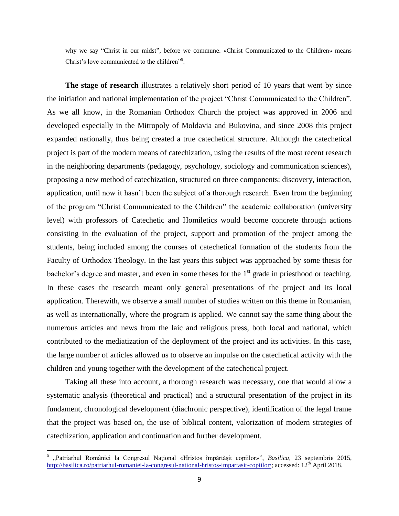why we say "Christ in our midst", before we commune. «Christ Communicated to the Children» means Christ's love communicated to the children"<sup>5</sup>.

**The stage of research** illustrates a relatively short period of 10 years that went by since the initiation and national implementation of the project "Christ Communicated to the Children". As we all know, in the Romanian Orthodox Church the project was approved in 2006 and developed especially in the Mitropoly of Moldavia and Bukovina, and since 2008 this project expanded nationally, thus being created a true catechetical structure. Although the catechetical project is part of the modern means of catechization, using the results of the most recent research in the neighboring departments (pedagogy, psychology, sociology and communication sciences), proposing a new method of catechization, structured on three components: discovery, interaction, application, until now it hasn't been the subject of a thorough research. Even from the beginning of the program "Christ Communicated to the Children" the academic collaboration (university level) with professors of Catechetic and Homiletics would become concrete through actions consisting in the evaluation of the project, support and promotion of the project among the students, being included among the courses of catechetical formation of the students from the Faculty of Orthodox Theology. In the last years this subject was approached by some thesis for bachelor's degree and master, and even in some theses for the  $1<sup>st</sup>$  grade in priesthood or teaching. In these cases the research meant only general presentations of the project and its local application. Therewith, we observe a small number of studies written on this theme in Romanian, as well as internationally, where the program is applied. We cannot say the same thing about the numerous articles and news from the laic and religious press, both local and national, which contributed to the mediatization of the deployment of the project and its activities. In this case, the large number of articles allowed us to observe an impulse on the catechetical activity with the children and young together with the development of the catechetical project.

Taking all these into account, a thorough research was necessary, one that would allow a systematic analysis (theoretical and practical) and a structural presentation of the project in its fundament, chronological development (diachronic perspective), identification of the legal frame that the project was based on, the use of biblical content, valorization of modern strategies of catechization, application and continuation and further development.

<sup>5</sup> "Patriarhul României la Congresul Naţional *«*Hristos împărtăşit copiilor*»*", *Basilica*, 23 septembrie 2015, [http://basilica.ro/patriarhul-romaniei-la-congresul-national-hristos-impartasit-copiilor/;](http://basilica.ro/patriarhul-romaniei-la-congresul-national-hristos-impartasit-copiilor/) accessed: 12<sup>th</sup> April 2018.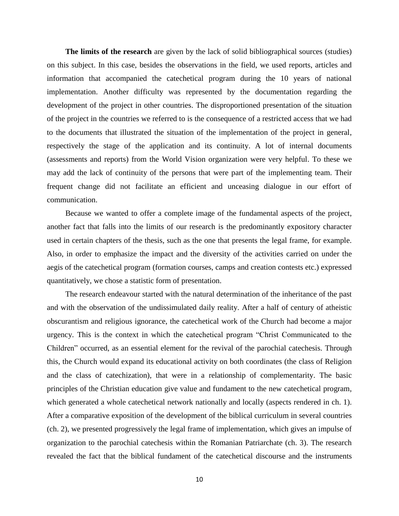**The limits of the research** are given by the lack of solid bibliographical sources (studies) on this subject. In this case, besides the observations in the field, we used reports, articles and information that accompanied the catechetical program during the 10 years of national implementation. Another difficulty was represented by the documentation regarding the development of the project in other countries. The disproportioned presentation of the situation of the project in the countries we referred to is the consequence of a restricted access that we had to the documents that illustrated the situation of the implementation of the project in general, respectively the stage of the application and its continuity. A lot of internal documents (assessments and reports) from the World Vision organization were very helpful. To these we may add the lack of continuity of the persons that were part of the implementing team. Their frequent change did not facilitate an efficient and unceasing dialogue in our effort of communication.

Because we wanted to offer a complete image of the fundamental aspects of the project, another fact that falls into the limits of our research is the predominantly expository character used in certain chapters of the thesis, such as the one that presents the legal frame, for example. Also, in order to emphasize the impact and the diversity of the activities carried on under the aegis of the catechetical program (formation courses, camps and creation contests etc.) expressed quantitatively, we chose a statistic form of presentation.

The research endeavour started with the natural determination of the inheritance of the past and with the observation of the undissimulated daily reality. After a half of century of atheistic obscurantism and religious ignorance, the catechetical work of the Church had become a major urgency. This is the context in which the catechetical program "Christ Communicated to the Children" occurred, as an essential element for the revival of the parochial catechesis. Through this, the Church would expand its educational activity on both coordinates (the class of Religion and the class of catechization), that were in a relationship of complementarity. The basic principles of the Christian education give value and fundament to the new catechetical program, which generated a whole catechetical network nationally and locally (aspects rendered in ch. 1). After a comparative exposition of the development of the biblical curriculum in several countries (ch. 2), we presented progressively the legal frame of implementation, which gives an impulse of organization to the parochial catechesis within the Romanian Patriarchate (ch. 3). The research revealed the fact that the biblical fundament of the catechetical discourse and the instruments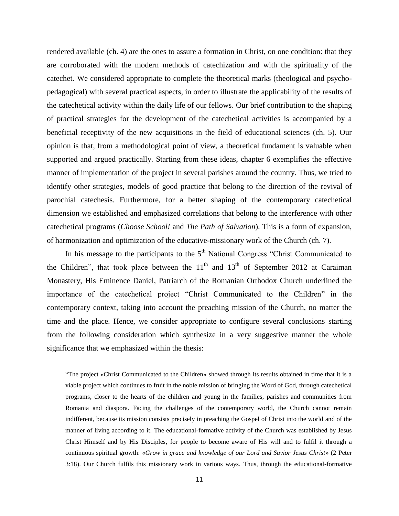rendered available (ch. 4) are the ones to assure a formation in Christ, on one condition: that they are corroborated with the modern methods of catechization and with the spirituality of the catechet. We considered appropriate to complete the theoretical marks (theological and psychopedagogical) with several practical aspects, in order to illustrate the applicability of the results of the catechetical activity within the daily life of our fellows. Our brief contribution to the shaping of practical strategies for the development of the catechetical activities is accompanied by a beneficial receptivity of the new acquisitions in the field of educational sciences (ch. 5). Our opinion is that, from a methodological point of view, a theoretical fundament is valuable when supported and argued practically. Starting from these ideas, chapter 6 exemplifies the effective manner of implementation of the project in several parishes around the country. Thus, we tried to identify other strategies, models of good practice that belong to the direction of the revival of parochial catechesis. Furthermore, for a better shaping of the contemporary catechetical dimension we established and emphasized correlations that belong to the interference with other catechetical programs (*Choose School!* and *The Path of Salvation*). This is a form of expansion, of harmonization and optimization of the educative-missionary work of the Church (ch. 7).

In his message to the participants to the  $5<sup>th</sup>$  National Congress "Christ Communicated to the Children", that took place between the  $11<sup>th</sup>$  and  $13<sup>th</sup>$  of September 2012 at Caraiman Monastery, His Eminence Daniel, Patriarch of the Romanian Orthodox Church underlined the importance of the catechetical project "Christ Communicated to the Children" in the contemporary context, taking into account the preaching mission of the Church, no matter the time and the place. Hence, we consider appropriate to configure several conclusions starting from the following consideration which synthesize in a very suggestive manner the whole significance that we emphasized within the thesis:

"The project «Christ Communicated to the Children» showed through its results obtained in time that it is a viable project which continues to fruit in the noble mission of bringing the Word of God, through catechetical programs, closer to the hearts of the children and young in the families, parishes and communities from Romania and diaspora. Facing the challenges of the contemporary world, the Church cannot remain indifferent, because its mission consists precisely in preaching the Gospel of Christ into the world and of the manner of living according to it. The educational-formative activity of the Church was established by Jesus Christ Himself and by His Disciples, for people to become aware of His will and to fulfil it through a continuous spiritual growth: «*Grow in grace and knowledge of our Lord and Savior Jesus Christ*» (2 Peter 3:18). Our Church fulfils this missionary work in various ways. Thus, through the educational-formative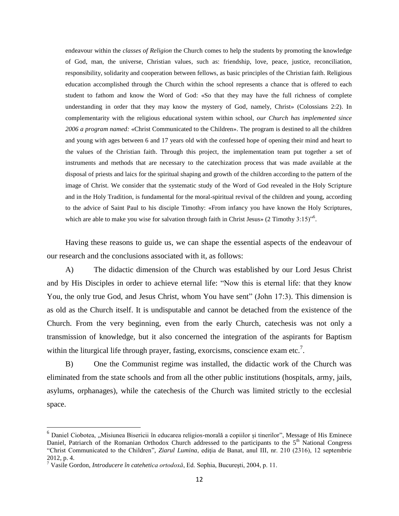endeavour within the *classes of Religion* the Church comes to help the students by promoting the knowledge of God, man, the universe, Christian values, such as: friendship, love, peace, justice, reconciliation, responsibility, solidarity and cooperation between fellows, as basic principles of the Christian faith. Religious education accomplished through the Church within the school represents a chance that is offered to each student to fathom and know the Word of God: «So that they may have the full richness of complete understanding in order that they may know the mystery of God, namely, Christ» (Colossians 2:2). In complementarity with the religious educational system within school, *our Church has implemented since 2006 a program named:* «Christ Communicated to the Children». The program is destined to all the children and young with ages between 6 and 17 years old with the confessed hope of opening their mind and heart to the values of the Christian faith. Through this project, the implementation team put together a set of instruments and methods that are necessary to the catechization process that was made available at the disposal of priests and laics for the spiritual shaping and growth of the children according to the pattern of the image of Christ. We consider that the systematic study of the Word of God revealed in the Holy Scripture and in the Holy Tradition, is fundamental for the moral-spiritual revival of the children and young, according to the advice of Saint Paul to his disciple Timothy: «From infancy you have known the Holy Scriptures, which are able to make you wise for salvation through faith in Christ Jesus» (2 Timothy  $3:15$ )<sup>56</sup>.

Having these reasons to guide us, we can shape the essential aspects of the endeavour of our research and the conclusions associated with it, as follows:

A) The didactic dimension of the Church was established by our Lord Jesus Christ and by His Disciples in order to achieve eternal life: "Now this is eternal life: that they know You, the only true God, and Jesus Christ, whom You have sent" (John 17:3). This dimension is as old as the Church itself. It is undisputable and cannot be detached from the existence of the Church. From the very beginning, even from the early Church, catechesis was not only a transmission of knowledge, but it also concerned the integration of the aspirants for Baptism within the liturgical life through prayer, fasting, exorcisms, conscience exam etc.<sup>7</sup>.

B) One the Communist regime was installed, the didactic work of the Church was eliminated from the state schools and from all the other public institutions (hospitals, army, jails, asylums, orphanages), while the catechesis of the Church was limited strictly to the ecclesial space.

<sup>&</sup>lt;sup>6</sup> Daniel Ciobotea, "Misiunea Bisericii în educarea religios-morală a copiilor și tinerilor", Message of His Eminece Daniel, Patriarch of the Romanian Orthodox Church addressed to the participants to the  $5<sup>th</sup>$  National Congress "Christ Communicated to the Children", *Ziarul Lumina*, ediția de Banat, anul III, nr. 210 (2316), 12 septembrie 2012, p. 4.

<sup>7</sup> Vasile Gordon, *Introducere în catehetica ortodoxă*, Ed. Sophia, Bucureşti, 2004, p. 11.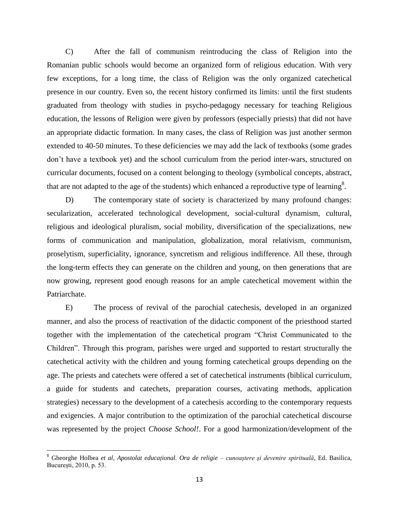C) After the fall of communism reintroducing the class of Religion into the Romanian public schools would become an organized form of religious education. With very few exceptions, for a long time, the class of Religion was the only organized catechetical presence in our country. Even so, the recent history confirmed its limits: until the first students graduated from theology with studies in psycho-pedagogy necessary for teaching Religious education, the lessons of Religion were given by professors (especially priests) that did not have an appropriate didactic formation. In many cases, the class of Religion was just another sermon extended to 40-50 minutes. To these deficiencies we may add the lack of textbooks (some grades don't have a textbook yet) and the school curriculum from the period inter-wars, structured on curricular documents, focused on a content belonging to theology (symbolical concepts, abstract, that are not adapted to the age of the students) which enhanced a reproductive type of learning<sup>8</sup>.

D) The contemporary state of society is characterized by many profound changes: secularization, accelerated technological development, social-cultural dynamism, cultural, religious and ideological pluralism, social mobility, diversification of the specializations, new forms of communication and manipulation, globalization, moral relativism, communism, proselytism, superficiality, ignorance, syncretism and religious indifference. All these, through the long-term effects they can generate on the children and young, on then generations that are now growing, represent good enough reasons for an ample catechetical movement within the Patriarchate.

E) The process of revival of the parochial catechesis, developed in an organized manner, and also the process of reactivation of the didactic component of the priesthood started together with the implementation of the catechetical program "Christ Communicated to the Children". Through this program, parishes were urged and supported to restart structurally the catechetical activity with the children and young forming catechetical groups depending on the age. The priests and catechets were offered a set of catechetical instruments (biblical curriculum, a guide for students and catechets, preparation courses, activating methods, application strategies) necessary to the development of a catechesis according to the contemporary requests and exigencies. A major contribution to the optimization of the parochial catechetical discourse was represented by the project *Choose School!*. For a good harmonization/development of the

<sup>8</sup> Gheorghe Holbea *et al*, *Apostolat educațional. Ora de religie – cunoaștere și devenire spirituală*, Ed. Basilica, București, 2010, p. 53.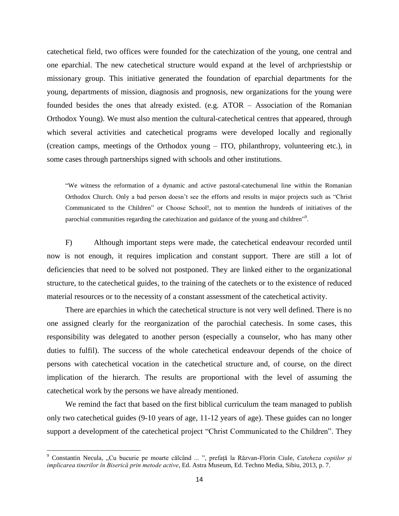catechetical field, two offices were founded for the catechization of the young, one central and one eparchial. The new catechetical structure would expand at the level of archpriestship or missionary group. This initiative generated the foundation of eparchial departments for the young, departments of mission, diagnosis and prognosis, new organizations for the young were founded besides the ones that already existed. (e.g. ATOR – Association of the Romanian Orthodox Young). We must also mention the cultural-catechetical centres that appeared, through which several activities and catechetical programs were developed locally and regionally (creation camps, meetings of the Orthodox young – ITO, philanthropy, volunteering etc.), in some cases through partnerships signed with schools and other institutions.

"We witness the reformation of a dynamic and active pastoral-catechumenal line within the Romanian Orthodox Church. Only a bad person doesn't see the efforts and results in major projects such as "Christ Communicated to the Children" or Choose School!, not to mention the hundreds of initiatives of the parochial communities regarding the catechization and guidance of the young and children"<sup>9</sup>.

F) Although important steps were made, the catechetical endeavour recorded until now is not enough, it requires implication and constant support. There are still a lot of deficiencies that need to be solved not postponed. They are linked either to the organizational structure, to the catechetical guides, to the training of the catechets or to the existence of reduced material resources or to the necessity of a constant assessment of the catechetical activity.

There are eparchies in which the catechetical structure is not very well defined. There is no one assigned clearly for the reorganization of the parochial catechesis. In some cases, this responsibility was delegated to another person (especially a counselor, who has many other duties to fulfil). The success of the whole catechetical endeavour depends of the choice of persons with catechetical vocation in the catechetical structure and, of course, on the direct implication of the hierarch. The results are proportional with the level of assuming the catechetical work by the persons we have already mentioned.

We remind the fact that based on the first biblical curriculum the team managed to publish only two catechetical guides (9-10 years of age, 11-12 years of age). These guides can no longer support a development of the catechetical project "Christ Communicated to the Children". They

<sup>9</sup> Constantin Necula, "Cu bucurie pe moarte călcând ... ", prefață la Răzvan-Florin Ciule, *Cateheza copiilor și implicarea tinerilor în Biserică prin metode active*, Ed. Astra Museum, Ed. Techno Media, Sibiu, 2013, p. 7.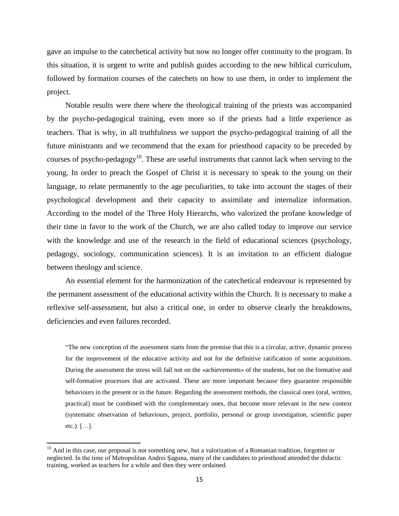gave an impulse to the catechetical activity but now no longer offer continuity to the program. In this situation, it is urgent to write and publish guides according to the new biblical curriculum, followed by formation courses of the catechets on how to use them, in order to implement the project.

Notable results were there where the theological training of the priests was accompanied by the psycho-pedagogical training, even more so if the priests had a little experience as teachers. That is why, in all truthfulness we support the psycho-pedagogical training of all the future ministrants and we recommend that the exam for priesthood capacity to be preceded by courses of psycho-pedagogy<sup>10</sup>. These are useful instruments that cannot lack when serving to the young. In order to preach the Gospel of Christ it is necessary to speak to the young on their language, to relate permanently to the age peculiarities, to take into account the stages of their psychological development and their capacity to assimilate and internalize information. According to the model of the Three Holy Hierarchs, who valorized the profane knowledge of their time in favor to the work of the Church, we are also called today to improve our service with the knowledge and use of the research in the field of educational sciences (psychology, pedagogy, sociology, communication sciences). It is an invitation to an efficient dialogue between theology and science.

An essential element for the harmonization of the catechetical endeavour is represented by the permanent assessment of the educational activity within the Church. It is necessary to make a reflexive self-assessment, but also a critical one, in order to observe clearly the breakdowns, deficiencies and even failures recorded.

"The new conception of the assessment starts from the premise that this is a circular, active, dynamic process for the improvement of the educative activity and not for the definitive ratification of some acquisitions. During the assessment the stress will fall not on the «achievements» of the students, but on the formative and self-formative processes that are activated. These are more important because they guarantee responsible behaviours in the present or in the future. Regarding the assessment methods, the classical ones (oral, written, practical) must be combined with the complementary ones, that become more relevant in the new context (systematic observation of behaviours, project, portfolio, personal or group investigation, scientific paper etc.). […].

 $10$  And in this case, our proposal is not something new, but a valorization of a Romanian tradition, forgotten or neglected. In the time of Metropolitan Andrei Şaguna, many of the candidates to priesthood attended the didactic training, worked as teachers for a while and then they were ordained.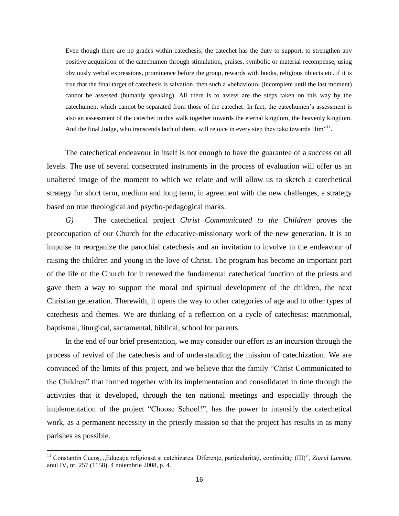Even though there are no grades within catechesis, the catechet has the duty to support, to strengthen any positive acquisition of the catechumen through stimulation, praises, symbolic or material recompense, using obviously verbal expressions, prominence before the group, rewards with books, religious objects etc. if it is true that the final target of catechesis is salvation, then such a «behaviour» (incomplete until the last moment) cannot be assessed (humanly speaking). All there is to assess are the steps taken on this way by the catechumen, which cannot be separated from those of the catechet. In fact, the catechumen's assessment is also an assessment of the catechet in this walk together towards the eternal kingdom, the heavenly kingdom. And the final Judge, who transcends both of them, will rejoice in every step they take towards Him"<sup>11</sup>.

The catechetical endeavour in itself is not enough to have the guarantee of a success on all levels. The use of several consecrated instruments in the process of evaluation will offer us an unaltered image of the moment to which we relate and will allow us to sketch a catechetical strategy for short term, medium and long term, in agreement with the new challenges, a strategy based on true theological and psycho-pedagogical marks.

*G)* The catechetical project *Christ Communicated to the Children* proves the preoccupation of our Church for the educative-missionary work of the new generation. It is an impulse to reorganize the parochial catechesis and an invitation to involve in the endeavour of raising the children and young in the love of Christ. The program has become an important part of the life of the Church for it renewed the fundamental catechetical function of the priests and gave them a way to support the moral and spiritual development of the children, the next Christian generation. Therewith, it opens the way to other categories of age and to other types of catechesis and themes. We are thinking of a reflection on a cycle of catechesis: matrimonial, baptismal, liturgical, sacramental, biblical, school for parents.

In the end of our brief presentation, we may consider our effort as an incursion through the process of revival of the catechesis and of understanding the mission of catechization. We are convinced of the limits of this project, and we believe that the family "Christ Communicated to the Children" that formed together with its implementation and consolidated in time through the activities that it developed, through the ten national meetings and especially through the implementation of the project "Choose School!", has the power to intensify the catechetical work, as a permanent necessity in the priestly mission so that the project has results in as many parishes as possible.

<sup>&</sup>lt;sup>11</sup> Constantin Cucoș, "Educația religioasă și catehizarea. Diferențe, particularități, continuități (III)", Ziarul Lumina, anul IV, nr. 257 (1158), 4 noiembrie 2008, p. 4.